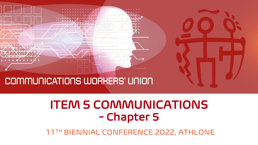

### ITEM 5 COMMUNICATIONS - Chapter 5

11TH BIENNIAL CONFERENCE 2022, ATHLONE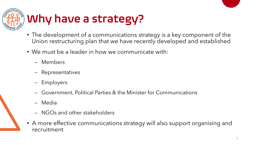

# Why have a strategy?

- The development of a communications strategy is a key component of the Union restructuring plan that we have recently developed and established
- We must be a leader in how we communicate with:
	- Members
	- Representatives
	- Employers
	- Government, Political Parties & the Minister for Communications
	- Media
	- NGOs and other stakeholders
- A more effective communications strategy will also support organising and recruitment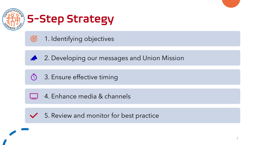



| $\mathcal G$ 1. Identifying objectives |
|----------------------------------------|
|                                        |



2. Developing our messages and Union Mission



3. Ensure effective timing



4. Enhance media & channels

 $\sqrt{5}$ . Review and monitor for best practice

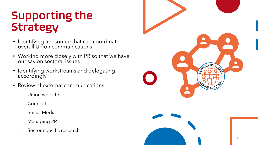## Supporting the Strategy

- Identifying a resource that can coordinate overall Union communications
- Working more closely with PR so that we have our say on sectoral issues
- Identifying workstreams and delegating accordingly
- Review of external communications:
	- Union website
	- **Connect**
	- Social Media
	- Managing PR
	- Sector-specific research

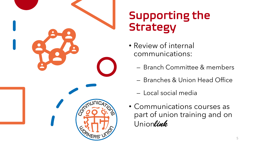

## Supporting the Strategy

- Review of internal communications:
	- Branch Committee & members
	- Branches & Union Head Office
	- Local social media
- Communications courses as part of union training and on Union*link*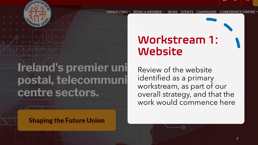

# **Ireland's premier uni** postal, telecommuni centre sectors.

**Shaping the Future Union** 

## Workstream 1: Website

Review of the website identified as a primary workstream, as part of our overall strategy, and that the work would commence here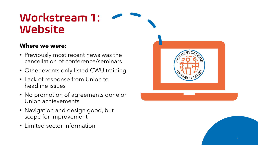#### Workstream 1: Website

#### **Where we were:**

- Previously most recent news was the cancellation of conference/seminars
- Other events only listed CWU training
- Lack of response from Union to headline issues
- No promotion of agreements done or Union achievements
- Navigation and design good, but scope for improvement
- Limited sector information

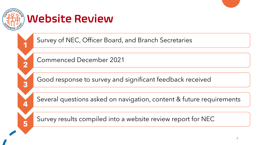

**1**

**2**

**3**

**4**

**5**

#### Website Review

Survey of NEC, Officer Board, and Branch Secretaries

Commenced December 2021

Good response to survey and significant feedback received

Several questions asked on navigation, content & future requirements

Survey results compiled into a website review report for NEC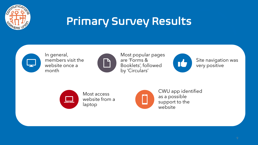

## Primary Survey Results



In general, members visit the website once a month



Most popular pages are 'Forms & Booklets', followed by 'Circulars'



Site navigation was very positive



Most access website from a laptop



CWU app identified as a possible support to the website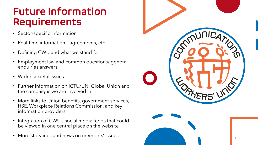#### Future Information Requirements

- Sector-specific information
- Real-time information agreements, etc
- Defining CWU and what we stand for
- Employment law and common questions/ general enquiries answers
- Wider societal issues
- Further information on ICTU/UNI Global Union and the campaigns we are involved in
- More links to Union benefits, government services, HSE, Workplace Relations Commission, and key information providers
- Integration of CWU's social media feeds that could be viewed in one central place on the website
- 

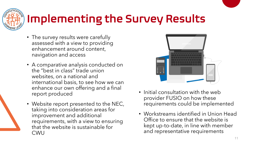

# Implementing the Survey Results

- The survey results were carefully assessed with a view to providing enhancement around content, navigation and access
- A comparative analysis conducted on the "best in class" trade union websites, on a national and international basis, to see how we can enhance our own offering and a final report produced
- Website report presented to the NEC, taking into consideration areas for improvement and additional requirements, with a view to ensuring that the website is sustainable for CWU



- Initial consultation with the web provider FUSIO on how these requirements could be implemented
- Workstreams identified in Union Head Office to ensure that the website is kept up-to-date, in line with member and representative requirements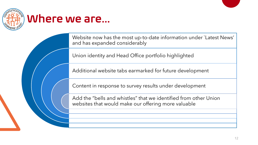

#### Where we are…

Website now has the most up-to-date information under `Latest News' and has expanded considerably

Union identity and Head Office portfolio highlighted

Additional website tabs earmarked for future development

Content in response to survey results under development

Add the "bells and whistles" that we identified from other Union websites that would make our offering more valuable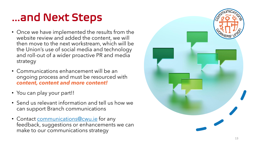## …and Next Steps

- Once we have implemented the results from the website review and added the content, we will then move to the next workstream, which will be the Union's use of social media and technology and roll -out of a wider proactive PR and media strategy
- Communications enhancement will be an ongoing process and must be resourced with *content, content and more content!*
- You can play your part!!
- Send us relevant information and tell us how we can support Branch communications
- Contact **communications@cwu.ie** for any feedback, suggestions or enhancements we can make to our communications strategy